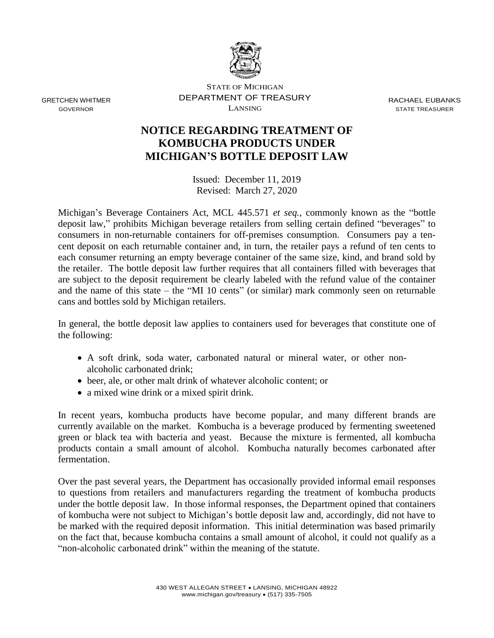

GRETCHEN WHITMER GOVERNOR

STATE OF MICHIGAN DEPARTMENT OF TREASURY LANSING

RACHAEL EUBANKS STATE TREASURER

## **NOTICE REGARDING TREATMENT OF KOMBUCHA PRODUCTS UNDER MICHIGAN'S BOTTLE DEPOSIT LAW**

Issued: December 11, 2019 Revised: March 27, 2020

Michigan's Beverage Containers Act, MCL 445.571 *et seq.*, commonly known as the "bottle deposit law," prohibits Michigan beverage retailers from selling certain defined "beverages" to consumers in non-returnable containers for off-premises consumption. Consumers pay a tencent deposit on each returnable container and, in turn, the retailer pays a refund of ten cents to each consumer returning an empty beverage container of the same size, kind, and brand sold by the retailer. The bottle deposit law further requires that all containers filled with beverages that are subject to the deposit requirement be clearly labeled with the refund value of the container and the name of this state – the "MI 10 cents" (or similar) mark commonly seen on returnable cans and bottles sold by Michigan retailers.

In general, the bottle deposit law applies to containers used for beverages that constitute one of the following:

- A soft drink, soda water, carbonated natural or mineral water, or other nonalcoholic carbonated drink;
- beer, ale, or other malt drink of whatever alcoholic content; or
- a mixed wine drink or a mixed spirit drink.

In recent years, kombucha products have become popular, and many different brands are currently available on the market. Kombucha is a beverage produced by fermenting sweetened green or black tea with bacteria and yeast. Because the mixture is fermented, all kombucha products contain a small amount of alcohol. Kombucha naturally becomes carbonated after fermentation.

Over the past several years, the Department has occasionally provided informal email responses to questions from retailers and manufacturers regarding the treatment of kombucha products under the bottle deposit law. In those informal responses, the Department opined that containers of kombucha were not subject to Michigan's bottle deposit law and, accordingly, did not have to be marked with the required deposit information. This initial determination was based primarily on the fact that, because kombucha contains a small amount of alcohol, it could not qualify as a "non-alcoholic carbonated drink" within the meaning of the statute.